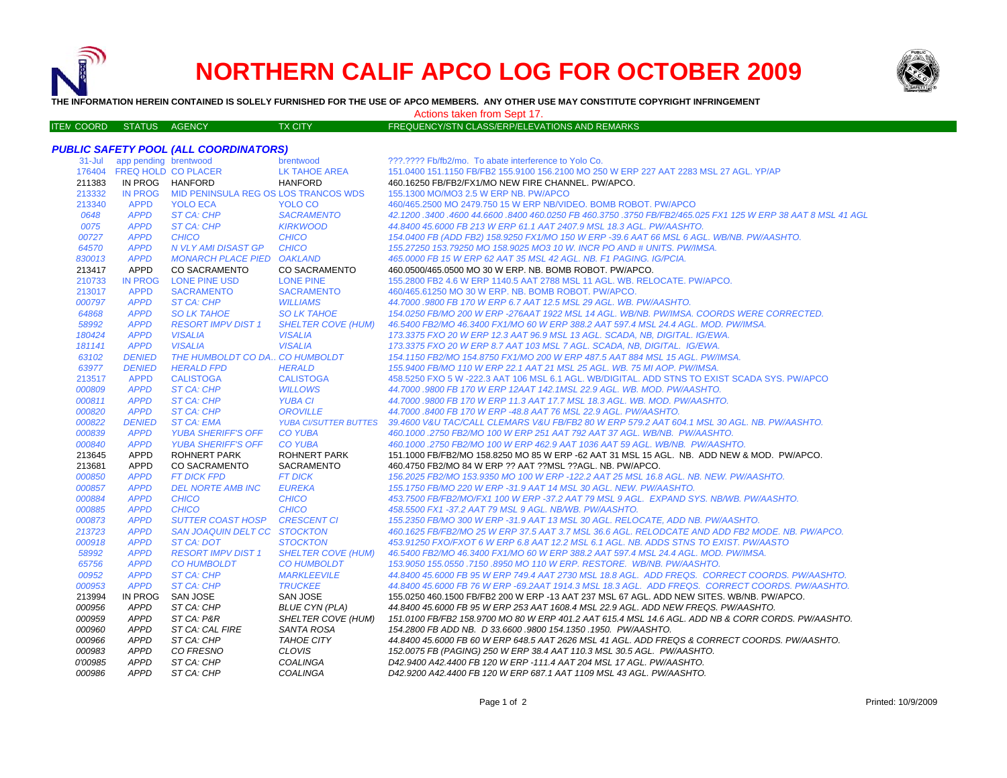

ITE M

# **NORTHERN CALIF APCO LOG FOR OCTOBER 2009**



**THE INFORMATION HEREIN CONTAINED IS SOLELY FURNISHED FOR THE USE OF APCO MEMBERS. ANY OTHER USE MAY CONSTITUTE COPYRIGHT INFRINGEMENT**

## Actions taken from Sept 17.

#### TX CITY FREQUENCY/STN CLASS/ERP/ELEVATIONS AND REMARKS

# *PUBLIC SAFETY POOL (ALL COORDINATORS)*

| $31 -$ Jul | app pending brentwood      |                                      | brentwood                    | ???.???? Fb/fb2/mo. To abate interference to Yolo Co.                                                     |
|------------|----------------------------|--------------------------------------|------------------------------|-----------------------------------------------------------------------------------------------------------|
| 176404     | <b>FREQ HOLD CO PLACER</b> |                                      | <b>LK TAHOE AREA</b>         | 151.0400 151.1150 FB/FB2 155.9100 156.2100 MO 250 W ERP 227 AAT 2283 MSL 27 AGL. YP/AP                    |
| 211383     | IN PROG HANFORD            |                                      | <b>HANFORD</b>               | 460.16250 FB/FB2/FX1/MO NEW FIRE CHANNEL, PW/APCO.                                                        |
| 213332     | <b>IN PROG</b>             | MID PENINSULA REG OS LOS TRANCOS WDS |                              | 155.1300 MO/MO3 2.5 W ERP NB, PW/APCO                                                                     |
| 213340     | <b>APPD</b>                | <b>YOLO ECA</b>                      | YOLO CO                      | 460/465.2500 MO 2479.750 15 W ERP NB/VIDEO. BOMB ROBOT. PW/APCO                                           |
| 0648       | <b>APPD</b>                | ST CA: CHP                           | <b>SACRAMENTO</b>            | 42,1200,3400,4600,44,6600,8400,460,0250 FB 460,3750,3750 FB/FB2/465,025 FX1 125 W ERP 38 AAT 8 MSL 41 AGL |
| 0075       | <b>APPD</b>                | ST CA: CHP                           | <b>KIRKWOOD</b>              | 44.8400 45.6000 FB 213 W ERP 61.1 AAT 2407.9 MSL 18.3 AGL, PW/AASHTO,                                     |
| 00727      | <b>APPD</b>                | <b>CHICO</b>                         | <b>CHICO</b>                 | 154.0400 FB (ADD FB2) 158.9250 FX1/MO 150 W ERP -39.6 AAT 66 MSL 6 AGL. WB/NB. PW/AASHTO.                 |
| 64570      | <b>APPD</b>                | N VLY AMI DISAST GP                  | <b>CHICO</b>                 | 155.27250 153.79250 MO 158.9025 MO3 10 W. INCR PO AND # UNITS, PW/IMSA.                                   |
| 830013     | <b>APPD</b>                | <b>MONARCH PLACE PIED OAKLAND</b>    |                              | 465.0000 FB 15 W ERP 62 AAT 35 MSL 42 AGL. NB. F1 PAGING. IG/PCIA.                                        |
| 213417     | APPD                       | <b>CO SACRAMENTO</b>                 | CO SACRAMENTO                | 460.0500/465.0500 MO 30 W ERP. NB. BOMB ROBOT. PW/APCO.                                                   |
| 210733     | <b>IN PROG</b>             | <b>LONE PINE USD</b>                 | <b>LONE PINE</b>             | 155.2800 FB2 4.6 W ERP 1140.5 AAT 2788 MSL 11 AGL. WB. RELOCATE. PW/APCO.                                 |
| 213017     | <b>APPD</b>                | <b>SACRAMENTO</b>                    | <b>SACRAMENTO</b>            | 460/465.61250 MO 30 W ERP. NB. BOMB ROBOT. PW/APCO.                                                       |
| 000797     | <b>APPD</b>                | ST CA: CHP                           | <b>WILLIAMS</b>              | 44.7000 .9800 FB 170 W ERP 6.7 AAT 12.5 MSL 29 AGL, WB, PW/AASHTO,                                        |
| 64868      | <b>APPD</b>                | <b>SO LK TAHOE</b>                   | <b>SO LK TAHOE</b>           | 154.0250 FB/MO 200 W ERP -276AAT 1922 MSL 14 AGL, WB/NB, PW/IMSA, COORDS WERE CORRECTED.                  |
| 58992      | <b>APPD</b>                | <b>RESORT IMPV DIST 1</b>            | <b>SHELTER COVE (HUM)</b>    | 46.5400 FB2/MO 46.3400 FX1/MO 60 W ERP 388.2 AAT 597.4 MSL 24.4 AGL, MOD, PW/IMSA,                        |
| 180424     | <b>APPD</b>                | <b>VISALIA</b>                       | <b>VISALIA</b>               | 173.3375 FXO 20 W ERP 12.3 AAT 96.9 MSL 13 AGL. SCADA, NB, DIGITAL. IG/EWA.                               |
| 181141     | <b>APPD</b>                | <b>VISALIA</b>                       | <b>VISALIA</b>               | 173.3375 FXO 20 W ERP 8.7 AAT 103 MSL 7 AGL. SCADA, NB, DIGITAL. IG/EWA.                                  |
| 63102      | <b>DENIED</b>              | THE HUMBOLDT CO DA., CO HUMBOLDT     |                              | 154.1150 FB2/MO 154.8750 FX1/MO 200 W ERP 487.5 AAT 884 MSL 15 AGL. PW/IMSA.                              |
| 63977      | <b>DENIED</b>              | <b>HERALD FPD</b>                    | <b>HERALD</b>                | 155,9400 FB/MO 110 W ERP 22.1 AAT 21 MSL 25 AGL, WB, 75 MI AOP, PW/IMSA.                                  |
| 213517     | <b>APPD</b>                | <b>CALISTOGA</b>                     | <b>CALISTOGA</b>             | 458.5250 FXO 5 W -222.3 AAT 106 MSL 6.1 AGL. WB/DIGITAL. ADD STNS TO EXIST SCADA SYS. PW/APCO             |
| 000809     | <b>APPD</b>                | <b>ST CA: CHP</b>                    | <b>WILLOWS</b>               | 44.7000 .9800 FB 170 W ERP 12AAT 142.1MSL 22.9 AGL. WB. MOD. PW/AASHTO.                                   |
| 000811     | <b>APPD</b>                | <b>ST CA: CHP</b>                    | <b>YUBA CI</b>               | 44,7000,9800 FB 170 W ERP 11.3 AAT 17.7 MSL 18.3 AGL, WB, MOD, PW/AASHTO,                                 |
| 000820     | <b>APPD</b>                | <b>ST CA: CHP</b>                    | <b>OROVILLE</b>              | 44.7000.8400 FB 170 W ERP -48.8 AAT 76 MSL 22.9 AGL, PW/AASHTO.                                           |
| 000822     | <b>DENIED</b>              | <b>ST CA: EMA</b>                    | <b>YUBA CI/SUTTER BUTTES</b> | 39.4600 V&U TAC/CALL CLEMARS V&U FB/FB2 80 W ERP 579.2 AAT 604.1 MSL 30 AGL. NB. PW/AASHTO.               |
| 000839     | <b>APPD</b>                | <b>YUBA SHERIFF'S OFF</b>            | <b>CO YUBA</b>               | 460.1000.2750 FB2/MO 100 W ERP 251 AAT 792 AAT 37 AGL. WB/NB. PW/AASHTO.                                  |
| 000840     | <b>APPD</b>                | <b>YUBA SHERIFF'S OFF</b>            | <b>CO YUBA</b>               | 460.1000 .2750 FB2/MO 100 W ERP 462.9 AAT 1036 AAT 59 AGL. WB/NB. PW/AASHTO.                              |
| 213645     | APPD                       | <b>ROHNERT PARK</b>                  | <b>ROHNERT PARK</b>          | 151.1000 FB/FB2/MO 158.8250 MO 85 W ERP -62 AAT 31 MSL 15 AGL. NB. ADD NEW & MOD. PW/APCO.                |
| 213681     | <b>APPD</b>                | CO SACRAMENTO                        | <b>SACRAMENTO</b>            | 460.4750 FB2/MO 84 W ERP ?? AAT ?? MSL ?? AGL. NB. PW/APCO.                                               |
| 000850     | <b>APPD</b>                | <b>FT DICK FPD</b>                   | <b>FT DICK</b>               | 156.2025 FB2/MO 153.9350 MO 100 W ERP -122.2 AAT 25 MSL 16.8 AGL. NB. NEW. PW/AASHTO.                     |
| 000857     | <b>APPD</b>                | <b>DEL NORTE AMB INC</b>             | <b>EUREKA</b>                | 155.1750 FB/MO 220 W ERP -31.9 AAT 14 MSL 30 AGL. NEW. PW/AASHTO.                                         |
| 000884     | <b>APPD</b>                | <b>CHICO</b>                         | <b>CHICO</b>                 | 453.7500 FB/FB2/MO/FX1 100 W ERP -37.2 AAT 79 MSL 9 AGL. EXPAND SYS. NB/WB. PW/AASHTO.                    |
| 000885     | <b>APPD</b>                | <b>CHICO</b>                         | <b>CHICO</b>                 | 458.5500 FX1-37.2 AAT 79 MSL 9 AGL, NB/WB, PW/AASHTO.                                                     |
| 000873     | <b>APPD</b>                | <b>SUTTER COAST HOSP</b>             | <b>CRESCENT CI</b>           | 155.2350 FB/MO 300 W ERP -31.9 AAT 13 MSL 30 AGL. RELOCATE. ADD NB. PW/AASHTO.                            |
| 213723     | <b>APPD</b>                | SAN JOAQUIN DELT CC STOCKTON         |                              | 460.1625 FB/FB2/MO 25 W ERP 37.5 AAT 3.7 MSL 36.6 AGL. RELODCATE AND ADD FB2 MODE. NB. PW/APCO.           |
| 000918     | <b>APPD</b>                | <b>ST CA: DOT</b>                    | <b>STOCKTON</b>              | 453.91250 FXO/FXOT 6 W ERP 6.8 AAT 12.2 MSL 6.1 AGL. NB. ADDS STNS TO EXIST. PW/AASTO                     |
| 58992      | <b>APPD</b>                | <b>RESORT IMPV DIST 1</b>            | <b>SHELTER COVE (HUM)</b>    | 46.5400 FB2/MO 46.3400 FX1/MO 60 W ERP 388.2 AAT 597.4 MSL 24.4 AGL. MOD. PW/IMSA.                        |
| 65756      | <b>APPD</b>                | <b>CO HUMBOLDT</b>                   | <b>CO HUMBOLDT</b>           | 153.9050 155.0550 .7150 .8950 MO 110 W ERP. RESTORE. WB/NB. PW/AASHTO.                                    |
| 00952      | <b>APPD</b>                | <b>ST CA: CHP</b>                    | <b>MARKLEEVILE</b>           | 44.8400 45.6000 FB 95 W ERP 749.4 AAT 2730 MSL 18.8 AGL. ADD FREQS. CORRECT COORDS. PW/AASHTO.            |
| 000953     | <b>APPD</b>                | <b>ST CA: CHP</b>                    | <b>TRUCKEE</b>               | 44.8400 45.6000 FB 76 W ERP -69.2AAT 1914.3 MSL 18.3 AGL, ADD FREQS, CORRECT COORDS, PW/AASHTO,           |
| 213994     | <b>IN PROG</b>             | SAN JOSE                             | <b>SAN JOSE</b>              | 155.0250 460.1500 FB/FB2 200 W ERP -13 AAT 237 MSL 67 AGL, ADD NEW SITES, WB/NB, PW/APCO,                 |
| 000956     | <b>APPD</b>                | ST CA: CHP                           | <b>BLUE CYN (PLA)</b>        | 44.8400 45.6000 FB 95 W ERP 253 AAT 1608.4 MSL 22.9 AGL. ADD NEW FREQS. PW/AASHTO.                        |
| 000959     | <b>APPD</b>                | ST CA: P&R                           | SHELTER COVE (HUM)           | 151.0100 FB/FB2 158.9700 MO 80 W ERP 401.2 AAT 615.4 MSL 14.6 AGL. ADD NB & CORR CORDS. PW/AASHTO.        |
| 000960     | <b>APPD</b>                | ST CA: CAL FIRE                      | <b>SANTA ROSA</b>            | 154.2800 FB ADD NB. D 33.6600 .9800 154.1350 .1950. PW/AASHTO.                                            |
| 000966     | <b>APPD</b>                | ST CA: CHP                           | TAHOE CITY                   | 44.8400 45.6000 FB 60 W ERP 648.5 AAT 2626 MSL 41 AGL. ADD FREQS & CORRECT COORDS. PW/AASHTO.             |
| 000983     | <b>APPD</b>                | CO FRESNO                            | <b>CLOVIS</b>                | 152.0075 FB (PAGING) 250 W ERP 38.4 AAT 110.3 MSL 30.5 AGL. PW/AASHTO.                                    |
| 0'00985    | <b>APPD</b>                | ST CA: CHP                           | <b>COALINGA</b>              | D42.9400 A42.4400 FB 120 W ERP -111.4 AAT 204 MSL 17 AGL, PW/AASHTO.                                      |
| 000986     | <b>APPD</b>                | ST CA: CHP                           | <b>COALINGA</b>              | D42.9200 A42.4400 FB 120 W ERP 687.1 AAT 1109 MSL 43 AGL. PW/AASHTO.                                      |
|            |                            |                                      |                              |                                                                                                           |